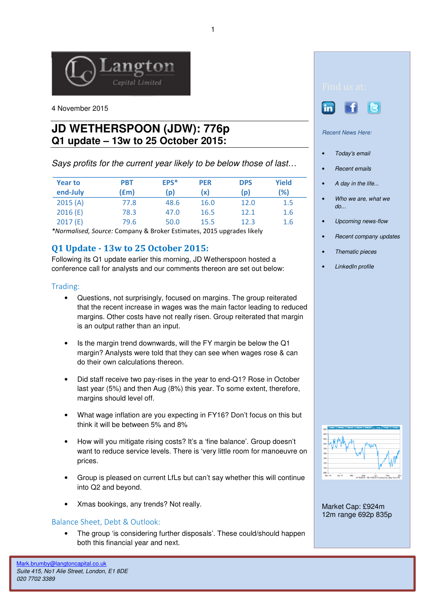

4 November 2015

# **JD WETHERSPOON (JDW): 776p Q1 update – 13w to 25 October 2015:**

Says profits for the current year likely to be below those of last…

| <b>Year to</b><br>end-July | <b>PBT</b><br>f(m) | EPS*<br>(p) | <b>PER</b><br>(x) | <b>DPS</b><br>(p) | <b>Yield</b><br>(%) |
|----------------------------|--------------------|-------------|-------------------|-------------------|---------------------|
| 2015(A)                    | 77.8               | 48.6        | 16.0              | 12.0              | 1.5                 |
| 2016(E)                    | 78.3               | 47.0        | 16.5              | 12.1              | 1.6                 |
| 2017(E)                    | 79.6               | 50.0        | 15.5              | 12.3              | 1.6                 |

\*Normalised, Source: Company & Broker Estimates, 2015 upgrades likely

## Q1 Update - 13w to 25 October 2015:

Following its Q1 update earlier this morning, JD Wetherspoon hosted a conference call for analysts and our comments thereon are set out below:

### Trading:

- Questions, not surprisingly, focused on margins. The group reiterated that the recent increase in wages was the main factor leading to reduced margins. Other costs have not really risen. Group reiterated that margin is an output rather than an input.
- Is the margin trend downwards, will the FY margin be below the Q1 margin? Analysts were told that they can see when wages rose & can do their own calculations thereon.
- Did staff receive two pay-rises in the year to end-Q1? Rose in October last year (5%) and then Aug (8%) this year. To some extent, therefore, margins should level off.
- What wage inflation are you expecting in FY16? Don't focus on this but think it will be between 5% and 8%
- How will you mitigate rising costs? It's a 'fine balance'. Group doesn't want to reduce service levels. There is 'very little room for manoeuvre on prices.
- Group is pleased on current LfLs but can't say whether this will continue into Q2 and beyond.
- Xmas bookings, any trends? Not really.

### Balance Sheet, Debt & Outlook:

The group 'is considering further disposals'. These could/should happen both this financial year and next.





Recent News Here:

- Today's email
- Recent emails
- A day in the life...
- Who we are, what we do...
- Upcoming news-flow
- Recent company updates
- Thematic pieces
- LinkedIn profile



Market Cap: £924m 12m range 692p 835p